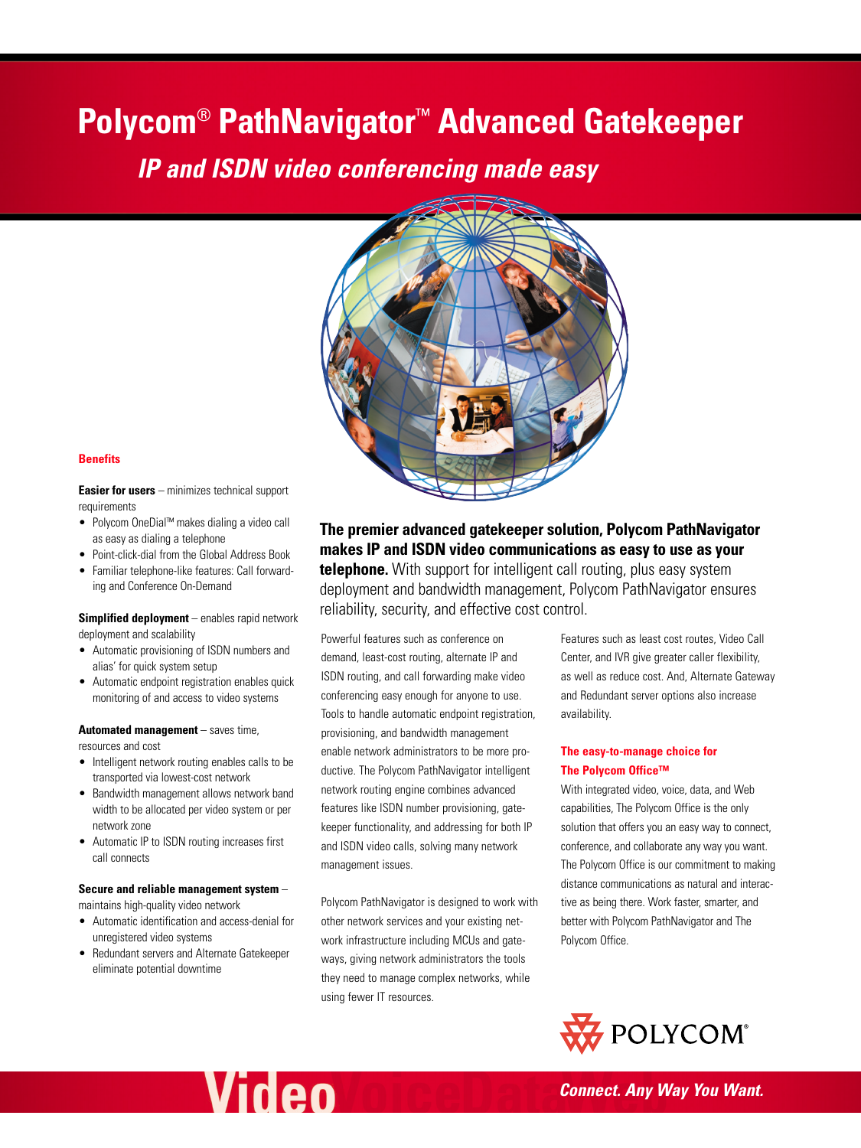# **Polycom**® **PathNavigator**™ **Advanced Gatekeeper**

*IP and ISDN video conferencing made easy*



#### **Benefits**

**Easier for users** – minimizes technical support requirements

- Polycom OneDial™ makes dialing a video call as easy as dialing a telephone
- Point-click-dial from the Global Address Book
- Familiar telephone-like features: Call forwarding and Conference On-Demand

#### **Simplified deployment** – enables rapid network deployment and scalability

- Automatic provisioning of ISDN numbers and alias' for quick system setup
- Automatic endpoint registration enables quick monitoring of and access to video systems

# **Automated management** – saves time,

resources and cost

- Intelligent network routing enables calls to be transported via lowest-cost network
- Bandwidth management allows network band width to be allocated per video system or per network zone
- Automatic IP to ISDN routing increases first call connects

#### **Secure and reliable management system** –

maintains high-quality video network

- Automatic identification and access-denial for unregistered video systems
- Redundant servers and Alternate Gatekeeper eliminate potential downtime

**Video** 

**The premier advanced gatekeeper solution, Polycom PathNavigator makes IP and ISDN video communications as easy to use as your telephone.** With support for intelligent call routing, plus easy system deployment and bandwidth management, Polycom PathNavigator ensures reliability, security, and effective cost control.

Powerful features such as conference on demand, least-cost routing, alternate IP and ISDN routing, and call forwarding make video conferencing easy enough for anyone to use. Tools to handle automatic endpoint registration, provisioning, and bandwidth management enable network administrators to be more productive. The Polycom PathNavigator intelligent network routing engine combines advanced features like ISDN number provisioning, gatekeeper functionality, and addressing for both IP and ISDN video calls, solving many network management issues.

Polycom PathNavigator is designed to work with other network services and your existing network infrastructure including MCUs and gateways, giving network administrators the tools they need to manage complex networks, while using fewer IT resources.

Features such as least cost routes, Video Call Center, and IVR give greater caller flexibility, as well as reduce cost. And, Alternate Gateway and Redundant server options also increase availability.

# **The easy-to-manage choice for The Polycom Office™**

With integrated video, voice, data, and Web capabilities, The Polycom Office is the only solution that offers you an easy way to connect, conference, and collaborate any way you want. The Polycom Office is our commitment to making distance communications as natural and interactive as being there. Work faster, smarter, and better with Polycom PathNavigator and The Polycom Office.